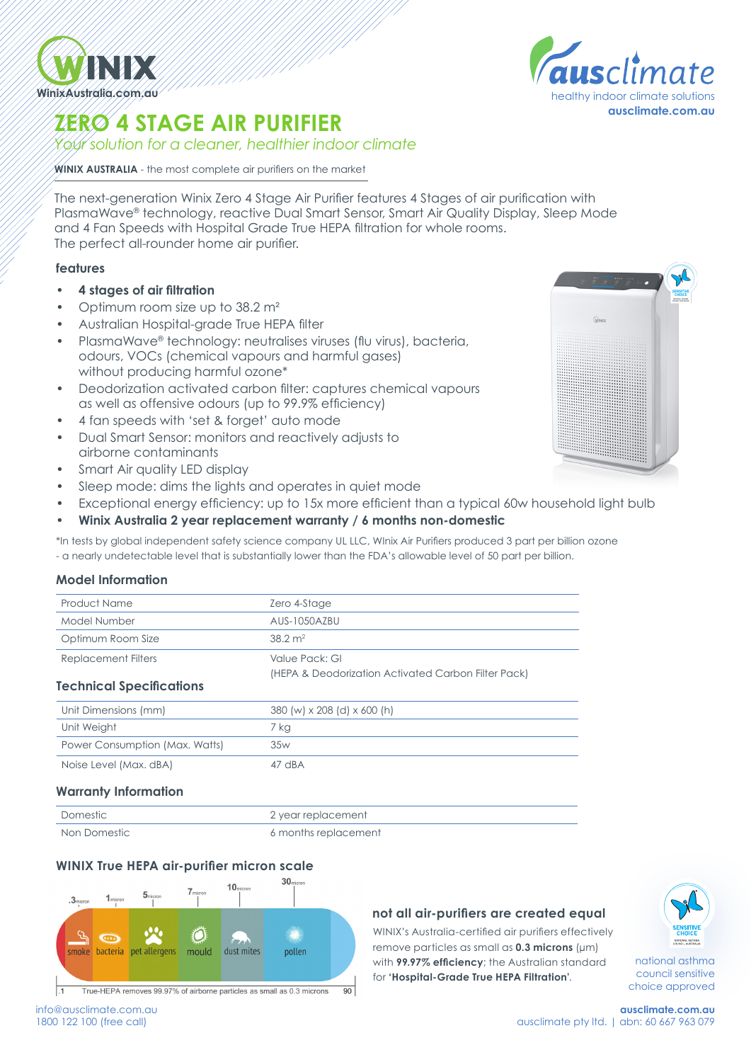

# **ZERO 4 STAGE AIR PURIFIER**

*Your solution for a cleaner, healthier indoor climate*

**WINIX AUSTRALIA** - the most complete air purifiers on the market

The next-generation Winix Zero 4 Stage Air Purifier features 4 Stages of air purification with PlasmaWave® technology, reactive Dual Smart Sensor, Smart Air Quality Display, Sleep Mode and 4 Fan Speeds with Hospital Grade True HEPA filtration for whole rooms. The perfect all-rounder home air purifier.

### **features**

- **• 4 stages of air filtration**
- Optimum room size up to 38.2 m<sup>2</sup>
- Australian Hospital-grade True HEPA filter
- PlasmaWave® technology: neutralises viruses (flu virus), bacteria, odours, VOCs (chemical vapours and harmful gases) without producing harmful ozone\*
- Deodorization activated carbon filter: captures chemical vapours as well as offensive odours (up to 99.9% efficiency)
- 4 fan speeds with 'set & forget' auto mode
- Dual Smart Sensor: monitors and reactively adjusts to airborne contaminants
- Smart Air quality LED display
- Sleep mode: dims the lights and operates in quiet mode
- Exceptional energy efficiency: up to 15x more efficient than a typical 60w household light bulb
- **• Winix Australia 2 year replacement warranty / 6 months non-domestic**

\*In tests by global independent safety science company UL LLC, WInix Air Purifiers produced 3 part per billion ozone - a nearly undetectable level that is substantially lower than the FDA's allowable level of 50 part per billion.

#### **Model Information**

| <b>Product Name</b>             | Zero 4-Stage                                        |  |
|---------------------------------|-----------------------------------------------------|--|
| Model Number                    | AUS-1050AZBU                                        |  |
| Optimum Room Size               | $38.2 \text{ m}^2$                                  |  |
| <b>Replacement Filters</b>      | Value Pack: GI                                      |  |
|                                 | (HEPA & Deodorization Activated Carbon Filter Pack) |  |
| <b>Technical Specifications</b> |                                                     |  |
| Unit Dimensions (mm)            | 380 (w) x 208 (d) x 600 (h)                         |  |
| Unit Weight                     | 7 kg                                                |  |
| Power Consumption (Max. Watts)  | 35w                                                 |  |
| Noise Level (Max. dBA)          | 47 dBA                                              |  |
|                                 |                                                     |  |

#### **Warranty Information**

| Domestic     | 2 year replacement   |
|--------------|----------------------|
| Non Domestic | 6 months replacement |

# **WINIX True HEPA air-purifier micron scale**



#### **not all air-purifiers are created equal**

WINIX's Australia-certified air purifiers effectively remove particles as small as **0.3 microns** (μm) with **99.97% efficiency**; the Australian standard for **'Hospital-Grade True HEPA Filtration'**.





national asthma council sensitive choice approved

info@ausclimate.com.au 1800 122 100 (free call)

**ausclimate.com.au healthy indoor climate solutions**